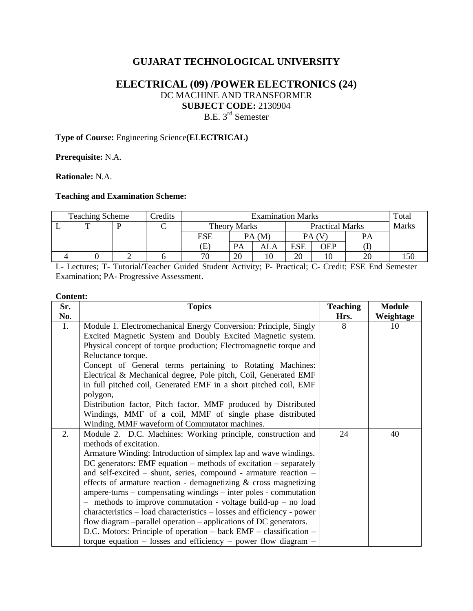# **GUJARAT TECHNOLOGICAL UNIVERSITY**

# **ELECTRICAL (09) /POWER ELECTRONICS (24)** DC MACHINE AND TRANSFORMER **SUBJECT CODE:** 2130904 B.E. 3<sup>rd</sup> Semester

### **Type of Course:** Engineering Science**(ELECTRICAL)**

**Prerequisite:** N.A.

**Rationale:** N.A.

#### **Teaching and Examination Scheme:**

| <b>Teaching Scheme</b> |  |  | Credits | <b>Examination Marks</b> |                     |     |                        |     |    | Total        |
|------------------------|--|--|---------|--------------------------|---------------------|-----|------------------------|-----|----|--------------|
|                        |  |  |         |                          | <b>Theory Marks</b> |     | <b>Practical Marks</b> |     |    | <b>Marks</b> |
|                        |  |  |         | ESE                      | PA(M)               |     |                        |     | PA |              |
|                        |  |  |         | Œ                        | <b>PA</b>           | ALA | <b>ESE</b>             | OEP |    |              |
|                        |  |  |         | 70                       | 20                  |     | 20                     | 10  | 20 |              |

L- Lectures; T- Tutorial/Teacher Guided Student Activity; P- Practical; C- Credit; ESE End Semester Examination; PA- Progressive Assessment.

#### **Content:**

| Sr. | <b>Topics</b>                                                          | <b>Teaching</b> | <b>Module</b> |
|-----|------------------------------------------------------------------------|-----------------|---------------|
| No. |                                                                        | Hrs.            | Weightage     |
| 1.  | Module 1. Electromechanical Energy Conversion: Principle, Singly       | 8               | 10            |
|     | Excited Magnetic System and Doubly Excited Magnetic system.            |                 |               |
|     | Physical concept of torque production; Electromagnetic torque and      |                 |               |
|     | Reluctance torque.                                                     |                 |               |
|     | Concept of General terms pertaining to Rotating Machines:              |                 |               |
|     | Electrical & Mechanical degree, Pole pitch, Coil, Generated EMF        |                 |               |
|     | in full pitched coil, Generated EMF in a short pitched coil, EMF       |                 |               |
|     | polygon,                                                               |                 |               |
|     | Distribution factor, Pitch factor. MMF produced by Distributed         |                 |               |
|     | Windings, MMF of a coil, MMF of single phase distributed               |                 |               |
|     | Winding, MMF waveform of Commutator machines.                          |                 |               |
| 2.  | Module 2. D.C. Machines: Working principle, construction and           | 24              | 40            |
|     | methods of excitation.                                                 |                 |               |
|     | Armature Winding: Introduction of simplex lap and wave windings.       |                 |               |
|     | $DC$ generators: EMF equation – methods of excitation – separately     |                 |               |
|     | and self-excited $-$ shunt, series, compound - armature reaction $-$   |                 |               |
|     | effects of armature reaction - demagnetizing $\&$ cross magnetizing    |                 |               |
|     | ampere-turns – compensating windings – inter poles - commutation       |                 |               |
|     | $-$ methods to improve commutation - voltage build-up $-$ no load      |                 |               |
|     | characteristics – load characteristics – losses and efficiency - power |                 |               |
|     | flow diagram -parallel operation - applications of DC generators.      |                 |               |
|     | D.C. Motors: Principle of operation - back EMF - classification -      |                 |               |
|     | torque equation $-$ losses and efficiency $-$ power flow diagram $-$   |                 |               |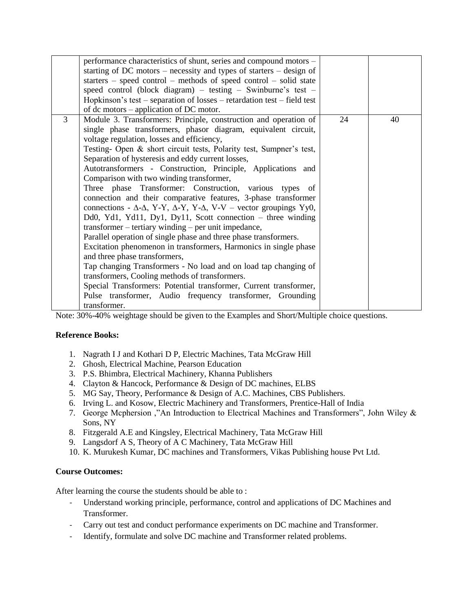|   | performance characteristics of shunt, series and compound motors -                              |    |    |
|---|-------------------------------------------------------------------------------------------------|----|----|
|   | starting of DC motors – necessity and types of starters – design of                             |    |    |
|   | starters $-$ speed control $-$ methods of speed control $-$ solid state                         |    |    |
|   | speed control (block diagram) – testing – Swinburne's test –                                    |    |    |
|   | Hopkinson's test – separation of losses – retardation test – field test                         |    |    |
|   | of dc motors $-$ application of DC motor.                                                       |    |    |
| 3 | Module 3. Transformers: Principle, construction and operation of                                | 24 | 40 |
|   | single phase transformers, phasor diagram, equivalent circuit,                                  |    |    |
|   | voltage regulation, losses and efficiency,                                                      |    |    |
|   | Testing- Open & short circuit tests, Polarity test, Sumpner's test,                             |    |    |
|   | Separation of hysteresis and eddy current losses,                                               |    |    |
|   | Autotransformers - Construction, Principle, Applications and                                    |    |    |
|   | Comparison with two winding transformer,                                                        |    |    |
|   | Three phase Transformer: Construction, various types of                                         |    |    |
|   | connection and their comparative features, 3-phase transformer                                  |    |    |
|   | connections - $\Delta$ - $\Delta$ , Y-Y, $\Delta$ -Y, Y- $\Delta$ , V-V – vector groupings Yy0, |    |    |
|   | Dd0, Yd1, Yd11, Dy1, Dy11, Scott connection – three winding                                     |    |    |
|   | transformer – tertiary winding – per unit impedance,                                            |    |    |
|   | Parallel operation of single phase and three phase transformers.                                |    |    |
|   | Excitation phenomenon in transformers, Harmonics in single phase                                |    |    |
|   | and three phase transformers,                                                                   |    |    |
|   | Tap changing Transformers - No load and on load tap changing of                                 |    |    |
|   | transformers, Cooling methods of transformers.                                                  |    |    |
|   | Special Transformers: Potential transformer, Current transformer,                               |    |    |
|   | Pulse transformer, Audio frequency transformer, Grounding                                       |    |    |
|   | transformer.                                                                                    |    |    |

Note: 30%-40% weightage should be given to the Examples and Short/Multiple choice questions.

### **Reference Books:**

- 1. Nagrath I J and Kothari D P, Electric Machines, Tata McGraw Hill
- 2. Ghosh, Electrical Machine, Pearson Education
- 3. P.S. Bhimbra, Electrical Machinery, Khanna Publishers
- 4. Clayton & Hancock, Performance & Design of DC machines, ELBS
- 5. MG Say, Theory, Performance & Design of A.C. Machines, CBS Publishers.
- 6. Irving L. and Kosow, Electric Machinery and Transformers, Prentice-Hall of India
- 7. George Mcphersion ,"An Introduction to Electrical Machines and Transformers", John Wiley & Sons, NY
- 8. Fitzgerald A.E and Kingsley, Electrical Machinery, Tata McGraw Hill
- 9. Langsdorf A S, Theory of A C Machinery, Tata McGraw Hill
- 10. K. Murukesh Kumar, DC machines and Transformers, Vikas Publishing house Pvt Ltd.

### **Course Outcomes:**

After learning the course the students should be able to :

- Understand working principle, performance, control and applications of DC Machines and Transformer.
- Carry out test and conduct performance experiments on DC machine and Transformer.
- Identify, formulate and solve DC machine and Transformer related problems.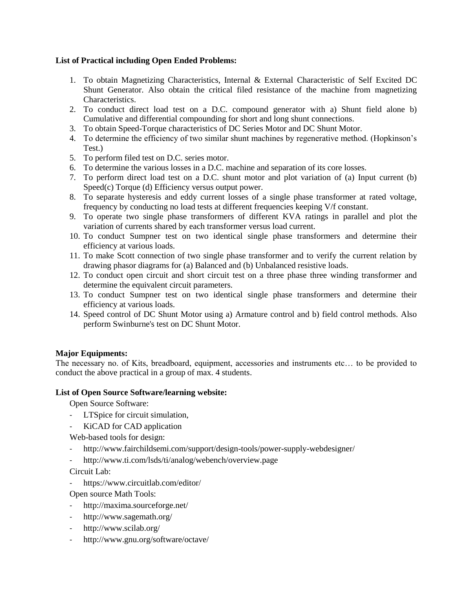### **List of Practical including Open Ended Problems:**

- 1. To obtain Magnetizing Characteristics, Internal & External Characteristic of Self Excited DC Shunt Generator. Also obtain the critical filed resistance of the machine from magnetizing Characteristics.
- 2. To conduct direct load test on a D.C. compound generator with a) Shunt field alone b) Cumulative and differential compounding for short and long shunt connections.
- 3. To obtain Speed-Torque characteristics of DC Series Motor and DC Shunt Motor.
- 4. To determine the efficiency of two similar shunt machines by regenerative method. (Hopkinson's Test.)
- 5. To perform filed test on D.C. series motor.
- 6. To determine the various losses in a D.C. machine and separation of its core losses.
- 7. To perform direct load test on a D.C. shunt motor and plot variation of (a) Input current (b) Speed(c) Torque (d) Efficiency versus output power.
- 8. To separate hysteresis and eddy current losses of a single phase transformer at rated voltage, frequency by conducting no load tests at different frequencies keeping V/f constant.
- 9. To operate two single phase transformers of different KVA ratings in parallel and plot the variation of currents shared by each transformer versus load current.
- 10. To conduct Sumpner test on two identical single phase transformers and determine their efficiency at various loads.
- 11. To make Scott connection of two single phase transformer and to verify the current relation by drawing phasor diagrams for (a) Balanced and (b) Unbalanced resistive loads.
- 12. To conduct open circuit and short circuit test on a three phase three winding transformer and determine the equivalent circuit parameters.
- 13. To conduct Sumpner test on two identical single phase transformers and determine their efficiency at various loads.
- 14. Speed control of DC Shunt Motor using a) Armature control and b) field control methods. Also perform Swinburne's test on DC Shunt Motor.

## **Major Equipments:**

The necessary no. of Kits, breadboard, equipment, accessories and instruments etc… to be provided to conduct the above practical in a group of max. 4 students.

### **List of Open Source Software/learning website:**

Open Source Software:

- LTSpice for circuit simulation,
- KiCAD for CAD application

Web-based tools for design:

- <http://www.fairchildsemi.com/support/design-tools/power-supply-webdesigner/>
- <http://www.ti.com/lsds/ti/analog/webench/overview.page>

Circuit Lab:

- <https://www.circuitlab.com/editor/>

Open source Math Tools:

- <http://maxima.sourceforge.net/>
- <http://www.sagemath.org/>
- <http://www.scilab.org/>
- <http://www.gnu.org/software/octave/>